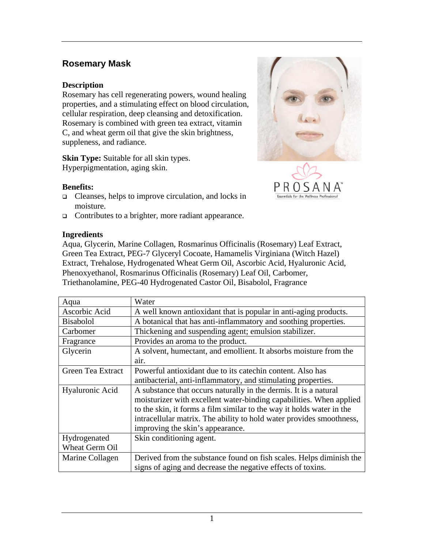# **Rosemary Mask**

#### **Description**

Rosemary has cell regenerating powers, wound healing properties, and a stimulating effect on blood circulation, cellular respiration, deep cleansing and detoxification. Rosemary is combined with green tea extract, vitamin C, and wheat germ oil that give the skin brightness, suppleness, and radiance.

**Skin Type:** Suitable for all skin types. Hyperpigmentation, aging skin.

### **Benefits:**

- Cleanses, helps to improve circulation, and locks in moisture.
- □ Contributes to a brighter, more radiant appearance.

### **Ingredients**

Aqua, Glycerin, Marine Collagen, Rosmarinus Officinalis (Rosemary) Leaf Extract, Green Tea Extract, PEG-7 Glyceryl Cocoate, Hamamelis Virginiana (Witch Hazel) Extract, Trehalose, Hydrogenated Wheat Germ Oil, Ascorbic Acid, Hyaluronic Acid, Phenoxyethanol, Rosmarinus Officinalis (Rosemary) Leaf Oil, Carbomer, Triethanolamine, PEG-40 Hydrogenated Castor Oil, Bisabolol, Fragrance

| Aqua                  | Water                                                                 |
|-----------------------|-----------------------------------------------------------------------|
| Ascorbic Acid         | A well known antioxidant that is popular in anti-aging products.      |
| <b>Bisabolol</b>      | A botanical that has anti-inflammatory and soothing properties.       |
| Carbomer              | Thickening and suspending agent; emulsion stabilizer.                 |
| Fragrance             | Provides an aroma to the product.                                     |
| Glycerin              | A solvent, humectant, and emollient. It absorbs moisture from the     |
|                       | air.                                                                  |
| Green Tea Extract     | Powerful antioxidant due to its catechin content. Also has            |
|                       | antibacterial, anti-inflammatory, and stimulating properties.         |
| Hyaluronic Acid       | A substance that occurs naturally in the dermis. It is a natural      |
|                       | moisturizer with excellent water-binding capabilities. When applied   |
|                       | to the skin, it forms a film similar to the way it holds water in the |
|                       | intracellular matrix. The ability to hold water provides smoothness,  |
|                       | improving the skin's appearance.                                      |
| Hydrogenated          | Skin conditioning agent.                                              |
| <b>Wheat Germ Oil</b> |                                                                       |
| Marine Collagen       | Derived from the substance found on fish scales. Helps diminish the   |
|                       | signs of aging and decrease the negative effects of toxins.           |



**Essentials for the Wellness**